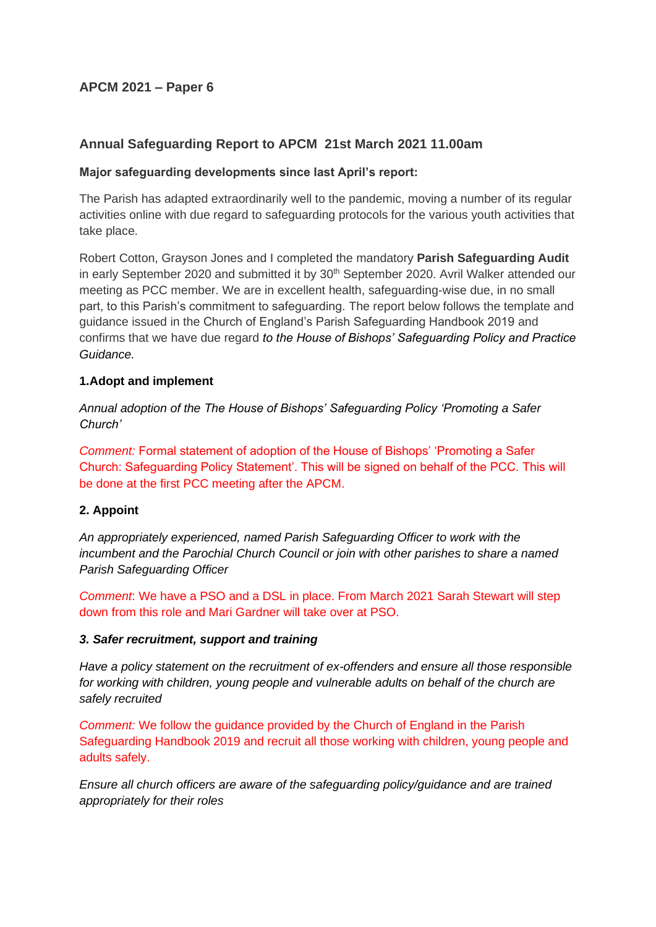# **APCM 2021 – Paper 6**

# **Annual Safeguarding Report to APCM 21st March 2021 11.00am**

# **Major safeguarding developments since last April's report:**

The Parish has adapted extraordinarily well to the pandemic, moving a number of its regular activities online with due regard to safeguarding protocols for the various youth activities that take place.

Robert Cotton, Grayson Jones and I completed the mandatory **Parish Safeguarding Audit** in early September 2020 and submitted it by 30<sup>th</sup> September 2020. Avril Walker attended our meeting as PCC member. We are in excellent health, safeguarding-wise due, in no small part, to this Parish's commitment to safeguarding. The report below follows the template and guidance issued in the Church of England's Parish Safeguarding Handbook 2019 and confirms that we have due regard *to the House of Bishops' Safeguarding Policy and Practice Guidance.*

## **1.Adopt and implement**

*Annual adoption of the The House of Bishops' Safeguarding Policy 'Promoting a Safer Church'* 

*Comment:* Formal statement of adoption of the House of Bishops' 'Promoting a Safer Church: Safeguarding Policy Statement'. This will be signed on behalf of the PCC. This will be done at the first PCC meeting after the APCM.

# **2. Appoint**

*An appropriately experienced, named Parish Safeguarding Officer to work with the incumbent and the Parochial Church Council or join with other parishes to share a named Parish Safeguarding Officer*

*Comment*: We have a PSO and a DSL in place. From March 2021 Sarah Stewart will step down from this role and Mari Gardner will take over at PSO.

### *3. Safer recruitment, support and training*

*Have a policy statement on the recruitment of ex-offenders and ensure all those responsible for working with children, young people and vulnerable adults on behalf of the church are safely recruited*

*Comment:* We follow the guidance provided by the Church of England in the Parish Safeguarding Handbook 2019 and recruit all those working with children, young people and adults safely.

*Ensure all church officers are aware of the safeguarding policy/guidance and are trained appropriately for their roles*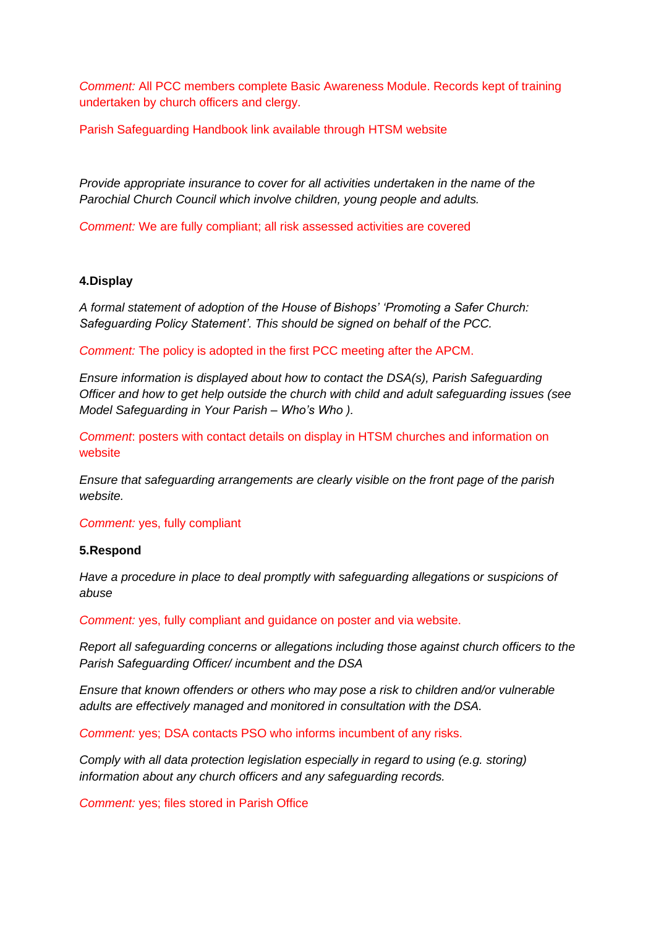*Comment:* All PCC members complete Basic Awareness Module. Records kept of training undertaken by church officers and clergy.

Parish Safeguarding Handbook link available through HTSM website

*Provide appropriate insurance to cover for all activities undertaken in the name of the Parochial Church Council which involve children, young people and adults.*

*Comment:* We are fully compliant; all risk assessed activities are covered

## **4.Display**

*A formal statement of adoption of the House of Bishops' 'Promoting a Safer Church: Safeguarding Policy Statement'. This should be signed on behalf of the PCC.* 

*Comment:* The policy is adopted in the first PCC meeting after the APCM.

*Ensure information is displayed about how to contact the DSA(s), Parish Safeguarding Officer and how to get help outside the church with child and adult safeguarding issues (see Model Safeguarding in Your Parish – Who's Who ).*

*Comment*: posters with contact details on display in HTSM churches and information on website

*Ensure that safeguarding arrangements are clearly visible on the front page of the parish website.*

*Comment:* yes, fully compliant

### **5.Respond**

*Have a procedure in place to deal promptly with safeguarding allegations or suspicions of abuse* 

*Comment:* yes, fully compliant and guidance on poster and via website.

*Report all safeguarding concerns or allegations including those against church officers to the Parish Safeguarding Officer/ incumbent and the DSA* 

*Ensure that known offenders or others who may pose a risk to children and/or vulnerable adults are effectively managed and monitored in consultation with the DSA.*

*Comment:* yes; DSA contacts PSO who informs incumbent of any risks.

*Comply with all data protection legislation especially in regard to using (e.g. storing) information about any church officers and any safeguarding records.*

*Comment:* yes; files stored in Parish Office